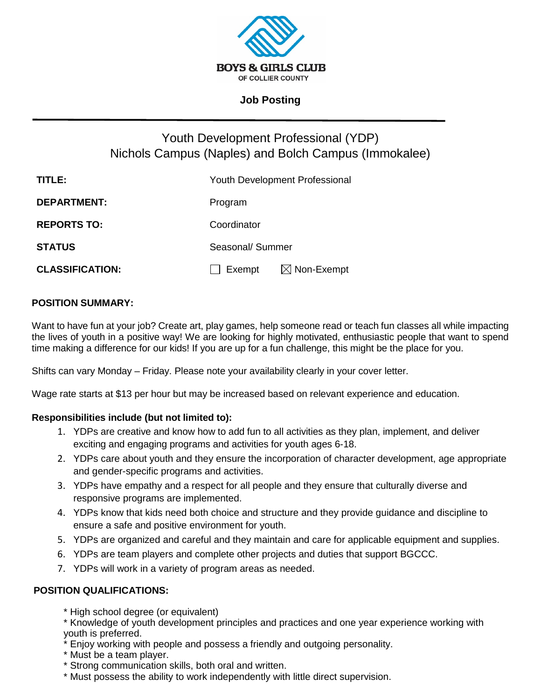

## **Job Posting**

# Youth Development Professional (YDP) Nichols Campus (Naples) and Bolch Campus (Immokalee)

| TITLE:                 | <b>Youth Development Professional</b> |
|------------------------|---------------------------------------|
| <b>DEPARTMENT:</b>     | Program                               |
| <b>REPORTS TO:</b>     | Coordinator                           |
| <b>STATUS</b>          | Seasonal/ Summer                      |
| <b>CLASSIFICATION:</b> | Exempt $\boxtimes$ Non-Exempt         |

## **POSITION SUMMARY:**

Want to have fun at your job? Create art, play games, help someone read or teach fun classes all while impacting the lives of youth in a positive way! We are looking for highly motivated, enthusiastic people that want to spend time making a difference for our kids! If you are up for a fun challenge, this might be the place for you.

Shifts can vary Monday – Friday. Please note your availability clearly in your cover letter.

Wage rate starts at \$13 per hour but may be increased based on relevant experience and education.

#### **Responsibilities include (but not limited to):**

- 1. YDPs are creative and know how to add fun to all activities as they plan, implement, and deliver exciting and engaging programs and activities for youth ages 6-18.
- 2. YDPs care about youth and they ensure the incorporation of character development, age appropriate and gender-specific programs and activities.
- 3. YDPs have empathy and a respect for all people and they ensure that culturally diverse and responsive programs are implemented.
- 4. YDPs know that kids need both choice and structure and they provide guidance and discipline to ensure a safe and positive environment for youth.
- 5. YDPs are organized and careful and they maintain and care for applicable equipment and supplies.
- 6. YDPs are team players and complete other projects and duties that support BGCCC.
- 7. YDPs will work in a variety of program areas as needed.

#### **POSITION QUALIFICATIONS:**

- \* High school degree (or equivalent)
- \* Knowledge of youth development principles and practices and one year experience working with youth is preferred.
- \* Enjoy working with people and possess a friendly and outgoing personality.
- \* Must be a team player.
- \* Strong communication skills, both oral and written.
- \* Must possess the ability to work independently with little direct supervision.